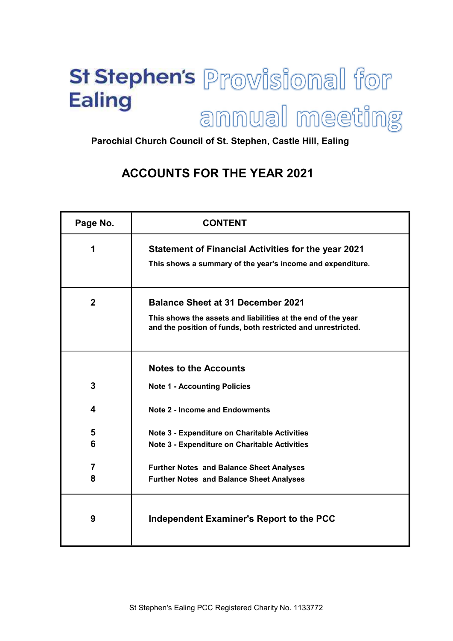# St Stephen's Provisional for **Ealing** annual meeting

Parochial Church Council of St. Stephen, Castle Hill, Ealing

# ACCOUNTS FOR THE YEAR 2021

| Page No.       | <b>CONTENT</b>                                                                                                               |
|----------------|------------------------------------------------------------------------------------------------------------------------------|
| 1              | <b>Statement of Financial Activities for the year 2021</b>                                                                   |
|                | This shows a summary of the year's income and expenditure.                                                                   |
| $\overline{2}$ | <b>Balance Sheet at 31 December 2021</b>                                                                                     |
|                | This shows the assets and liabilities at the end of the year<br>and the position of funds, both restricted and unrestricted. |
|                | <b>Notes to the Accounts</b>                                                                                                 |
| 3              | <b>Note 1 - Accounting Policies</b>                                                                                          |
| 4              | <b>Note 2 - Income and Endowments</b>                                                                                        |
| 5              | Note 3 - Expenditure on Charitable Activities                                                                                |
| 6              | <b>Note 3 - Expenditure on Charitable Activities</b>                                                                         |
| 7              | <b>Further Notes and Balance Sheet Analyses</b>                                                                              |
| 8              | <b>Further Notes and Balance Sheet Analyses</b>                                                                              |
| 9              | Independent Examiner's Report to the PCC                                                                                     |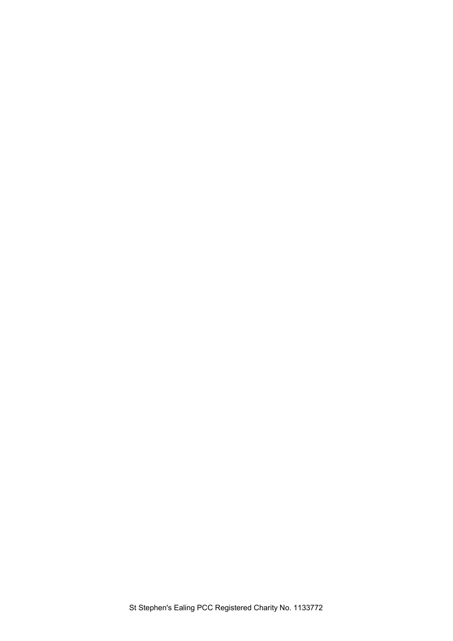St Stephen's Ealing PCC Registered Charity No. 1133772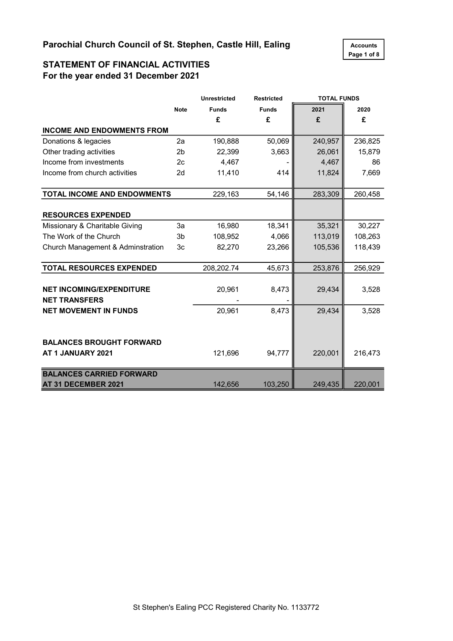

### STATEMENT OF FINANCIAL ACTIVITIES For the year ended 31 December 2021

|                                                         |                | <b>Unrestricted</b> | <b>Restricted</b> | <b>TOTAL FUNDS</b> |         |
|---------------------------------------------------------|----------------|---------------------|-------------------|--------------------|---------|
|                                                         | <b>Note</b>    | <b>Funds</b>        | <b>Funds</b>      | 2021               | 2020    |
|                                                         |                | £                   | £                 | £                  | £       |
| <b>INCOME AND ENDOWMENTS FROM</b>                       |                |                     |                   |                    |         |
| Donations & legacies                                    | 2a             | 190,888             | 50,069            | 240,957            | 236,825 |
| Other trading activities                                | 2 <sub>b</sub> | 22,399              | 3,663             | 26,061             | 15,879  |
| Income from investments                                 | 2c             | 4,467               |                   | 4,467              | 86      |
| Income from church activities                           | 2d             | 11,410              | 414               | 11,824             | 7,669   |
| TOTAL INCOME AND ENDOWMENTS                             |                | 229,163             | 54,146            | 283,309            | 260,458 |
| <b>RESOURCES EXPENDED</b>                               |                |                     |                   |                    |         |
| Missionary & Charitable Giving                          | 3a             | 16,980              | 18,341            | 35,321             | 30,227  |
| The Work of the Church                                  | 3b             | 108,952             | 4,066             | 113,019            | 108,263 |
| Church Management & Adminstration                       | 3c             | 82,270              | 23,266            | 105,536            | 118,439 |
| <b>TOTAL RESOURCES EXPENDED</b>                         |                | 208,202.74          | 45,673            | 253,876            | 256,929 |
| <b>NET INCOMING/EXPENDITURE</b><br><b>NET TRANSFERS</b> |                | 20,961              | 8,473             | 29,434             | 3,528   |
| <b>NET MOVEMENT IN FUNDS</b>                            |                | 20,961              | 8,473             | 29,434             | 3,528   |
| <b>BALANCES BROUGHT FORWARD</b><br>AT 1 JANUARY 2021    |                | 121,696             | 94,777            | 220,001            | 216,473 |
| <b>BALANCES CARRIED FORWARD</b><br>AT 31 DECEMBER 2021  |                | 142,656             | 103,250           | 249,435            | 220,001 |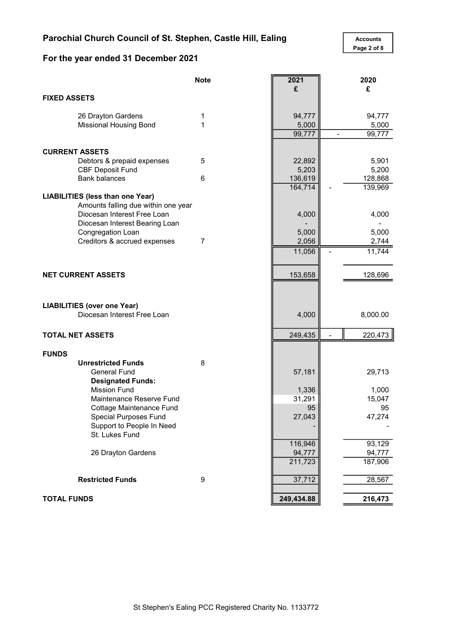# For the year ended 31 December 2021

Page 2 of 8

|                     |                                         | <b>Note</b> | 2021       | 2020     |
|---------------------|-----------------------------------------|-------------|------------|----------|
|                     |                                         |             | £          | £        |
| <b>FIXED ASSETS</b> |                                         |             |            |          |
|                     |                                         |             |            |          |
|                     | 26 Drayton Gardens                      | 1           | 94,777     | 94,777   |
|                     | <b>Missional Housing Bond</b>           | 1           | 5,000      | 5,000    |
|                     |                                         |             | 99,777     | 99,777   |
|                     | <b>CURRENT ASSETS</b>                   |             |            |          |
|                     | Debtors & prepaid expenses              | 5           | 22,892     | 5,901    |
|                     | <b>CBF Deposit Fund</b>                 |             | 5,203      | 5,200    |
|                     | <b>Bank balances</b>                    | 6           | 136,619    | 128,868  |
|                     |                                         |             | 164,714    | 139,969  |
|                     | <b>LIABILITIES (less than one Year)</b> |             |            |          |
|                     | Amounts falling due within one year     |             |            |          |
|                     | Diocesan Interest Free Loan             |             | 4,000      | 4,000    |
|                     | Diocesan Interest Bearing Loan          |             |            |          |
|                     | Congregation Loan                       |             | 5,000      | 5,000    |
|                     | Creditors & accrued expenses            | 7           | 2,056      | 2,744    |
|                     |                                         |             | 11,056     | 11,744   |
|                     |                                         |             |            |          |
|                     | <b>NET CURRENT ASSETS</b>               |             | 153,658    | 128,696  |
|                     |                                         |             |            |          |
|                     |                                         |             |            |          |
|                     | <b>LIABILITIES (over one Year)</b>      |             |            |          |
|                     | Diocesan Interest Free Loan             |             | 4,000      | 8,000.00 |
|                     |                                         |             |            |          |
|                     | <b>TOTAL NET ASSETS</b>                 |             | 249,435    | 220,473  |
|                     |                                         |             |            |          |
| <b>FUNDS</b>        |                                         |             |            |          |
|                     | <b>Unrestricted Funds</b>               | 8           |            |          |
|                     | <b>General Fund</b>                     |             | 57,181     | 29,713   |
|                     | <b>Designated Funds:</b>                |             |            |          |
|                     | <b>Mission Fund</b>                     |             | 1,336      | 1,000    |
|                     | Maintenance Reserve Fund                |             | 31,291     | 15,047   |
|                     | Cottage Maintenance Fund                |             | 95         | 95       |
|                     | Special Purposes Fund                   |             | 27,043     | 47,274   |
|                     | Support to People In Need               |             |            |          |
|                     | St. Lukes Fund                          |             |            |          |
|                     |                                         |             | 116,946    | 93,129   |
|                     | 26 Drayton Gardens                      |             | 94,777     | 94,777   |
|                     |                                         |             | 211,723    | 187,906  |
|                     | <b>Restricted Funds</b>                 | 9           | 37,712     | 28,567   |
|                     |                                         |             |            |          |
| <b>TOTAL FUNDS</b>  |                                         |             | 249,434.88 | 216,473  |
|                     |                                         |             |            |          |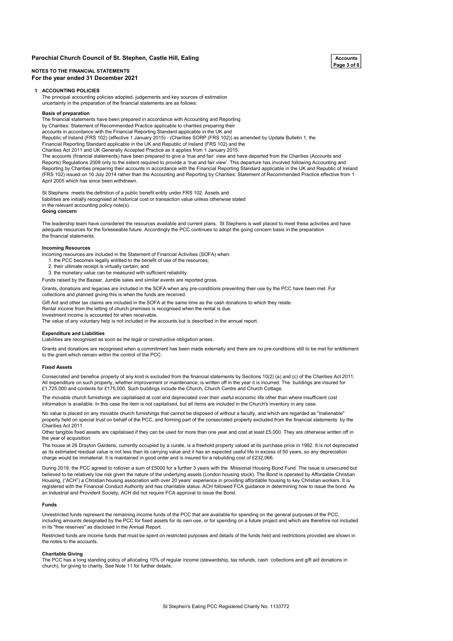#### Parochial Church Council of St. Stephen, Castle Hill, Ealing  $\overline{A_{\text{CCOunits}}}$

#### NOTES TO THE FINANCIAL STATEMENTS For the year ended 31 December 2021

#### 1 ACCOUNTING POLICIES

The principal accounting policies adopted, judgements and key sources of estimation uncertainty in the preparation of the financial statements are as follows:

#### Basis of preparation

The financial statements have been prepared in accordance with Accounting and Reporting by Charities: Statement of Recommended Practice applicable to charities preparing their accounts in accordance with the Financial Reporting Standard applicable in the UK and Republic of Ireland (FRS 102) (effective 1 January 2015) - (Charities SORP (FRS 102)) as amended by Update Bulletin 1, the Financial Reporting Standard applicable in the UK and Republic of Ireland (FRS 102) and the Charities Act 2011 and UK Generally Accepted Practice as it applies from 1 January 2015. The accounts (financial statements) have been prepared to give a 'true and fair' view and have departed from the Charities (Accounts and Reports) Regulations 2008 only to the extent required to provide a 'true and fair view'. This departure has involved following Accounting and Reporting by Charities preparing their accounts in accordance with the Financial Reporting Standard applicable in the UK and Republic of Ireland (FRS 102) issued on 16 July 2014 rather than the Accounting and Reporting by Charities: Statement of Recommended Practice effective from 1 April 2005 which has since been withdrawn.

Going concern St Stephens meets the definition of a public benefit entity under FRS 102. Assets and liabilities are initially recognised at historical cost or transaction value unless otherwise stated in the relevant accounting policy note(s).

The leadership team have considered the resources available and current plans. St Stephens is well placed to meet these activities and have adequate resources for the foreseeable future. Accordingly the PCC continues to adopt the going concern basis in the preparation the financial statements.

#### Incoming Resources

Incoming resources are included in the Statement of Financial Activities (SOFA) when:

- 1. the PCC becomes legally entitled to the benefit of use of the resources;
- 2. their ultimate receipt is virtually certain; and
- 3. the monetary value can be measured with sufficient reliability.

Funds raised by the Bazaar, Jumble sales and similar events are reported gross.

Grants, donations and legacies are included in the SOFA when any pre-conditions preventing their use by the PCC have been met. For collections and planned giving this is when the funds are received.

Gift Aid and other tax claims are included in the SOFA at the same time as the cash donations to which they relate. Rental income from the letting of church premises is recognised when the rental is due.

Investment income is accounted for when receivable.

The value of any voluntary help is not included in the accounts but is described in the annual report.

#### Expenditure and Liabilities

Liabilities are recognised as soon as the legal or constructive obligation arises.

Grants and donations are recognised when a commitment has been made externally and there are no pre-conditions still to be met for entitlement to the grant which remain within the control of the PCC.

#### Fixed Assets

Consecrated and benefice property of any kind is excluded from the financial statements by Sections 10(2) (a) and (c) of the Charities Act 2011. All expenditure on such property, whether improvement or maintenance, is written off in the year it is incurred. The buildings are insured for £1,725,000 and contents for £175,000. Such buildings include the Church, Church Centre and Church Cottage

The movable church furnishings are capitalised at cost and depreciated over their useful economic life other than where insufficient cost information is available. In this case the item is not capitalised, but all items are included in the Church's inventory in any case.

No value is placed on any movable church furnishings that cannot be disposed of without a faculty, and which are regarded as "inalienable" property held on special trust on behalf of the PCC, and forming part of the consecrated property excluded from the financial statements by the Charities Act 2011.

Other tangible fixed assets are capitalised if they can be used for more than one year and cost at least £5,000. They are otherwise written off in the year of acquisition.

The house at 26 Drayton Gardens, currently occupied by a curate, is a freehold property valued at its purchase price in 1992. It is not depreciated as its estimated residual value is not less than its carrying value and it has an expected useful life in excess of 50 years, so any depreciation charge would be immaterial. It is maintained in good order and is insured for a rebuilding cost of £232,066.

During 2019, the PCC agreed to rollover a sum of £5000 for a further 3 years with the Missional Housing Bond Fund. The issue is unsecured but believed to be relatively low risk given the nature of the underlying assets (London housing stock). The Bond is operated by Affordable Christian Housing, ("ACH") a Christian housing association with over 20 years' experience in providing affordable housing to key Christian workers. It is registered with the Financial Conduct Authority and has charitable status. ACH followed FCA guidance in determining how to issue the bond. As an Industrial and Provident Society, ACH did not require FCA approval to issue the Bond.

#### Funds

Unrestricted funds represent the remaining income funds of the PCC that are available for spending on the general purposes of the PCC, including amounts designated by the PCC for fixed assets for its own use, or for spending on a future project and which are therefore not included in its "free reserves" as disclosed in the Annual Report.

Restricted funds are income funds that must be spent on restricted purposes and details of the funds held and restrictions provided are shown in the notes to the accounts.

#### Charitable Giving

The PCC has a long standing policy of allocating 10% of regular income (stewardship, tax refunds, cash collections and gift aid donations in church), for giving to charity. See Note 11 for further details.

# Page 3 of 8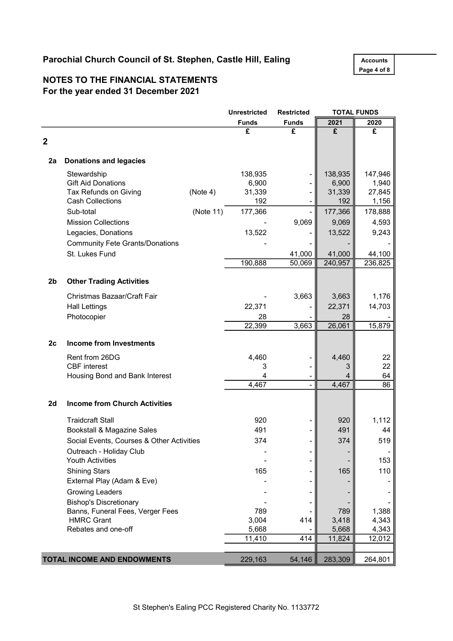# Parochial Church Council of St. Stephen, Castle Hill, Ealing Accounts

Page 4 of 8

## NOTES TO THE FINANCIAL STATEMENTS For the year ended 31 December 2021

|                |                                           |           | <b>Unrestricted</b> | <b>Restricted</b> |                 | <b>TOTAL FUNDS</b> |
|----------------|-------------------------------------------|-----------|---------------------|-------------------|-----------------|--------------------|
|                |                                           |           | <b>Funds</b>        | <b>Funds</b>      | 2021            | 2020               |
|                |                                           |           | £                   | £                 | £               | £                  |
| $\overline{2}$ |                                           |           |                     |                   |                 |                    |
| 2a             | <b>Donations and legacies</b>             |           |                     |                   |                 |                    |
|                |                                           |           |                     |                   |                 |                    |
|                | Stewardship<br><b>Gift Aid Donations</b>  |           | 138,935             |                   | 138,935         | 147,946<br>1,940   |
|                | Tax Refunds on Giving                     | (Note 4)  | 6,900<br>31,339     |                   | 6,900<br>31,339 | 27,845             |
|                | <b>Cash Collections</b>                   |           | 192                 |                   | 192             | 1,156              |
|                | Sub-total                                 | (Note 11) | 177,366             |                   | 177,366         | 178,888            |
|                | <b>Mission Collections</b>                |           |                     | 9,069             | 9,069           | 4,593              |
|                | Legacies, Donations                       |           | 13,522              |                   | 13,522          | 9,243              |
|                | <b>Community Fete Grants/Donations</b>    |           |                     |                   |                 |                    |
|                | St. Lukes Fund                            |           |                     | 41,000            | 41,000          |                    |
|                |                                           |           | 190,888             | 50,069            | 240,957         | 44,100<br>236,825  |
|                |                                           |           |                     |                   |                 |                    |
| 2 <sub>b</sub> | <b>Other Trading Activities</b>           |           |                     |                   |                 |                    |
|                | Christmas Bazaar/Craft Fair               |           |                     | 3,663             | 3,663           | 1,176              |
|                | <b>Hall Lettings</b>                      |           | 22,371              |                   | 22,371          | 14,703             |
|                | Photocopier                               |           | 28                  |                   | 28              |                    |
|                |                                           |           | 22,399              | 3,663             | 26,061          | 15,879             |
| 2c             | <b>Income from Investments</b>            |           |                     |                   |                 |                    |
|                | Rent from 26DG                            |           | 4,460               |                   | 4,460           | 22                 |
|                | <b>CBF</b> interest                       |           | 3                   |                   |                 | 22                 |
|                | Housing Bond and Bank Interest            |           | 4                   |                   |                 | 64                 |
|                |                                           |           | 4,467               |                   | 4,467           | 86                 |
| 2d             | <b>Income from Church Activities</b>      |           |                     |                   |                 |                    |
|                |                                           |           |                     |                   |                 |                    |
|                | <b>Traidcraft Stall</b>                   |           | 920                 |                   | 920             | 1,112              |
|                | Bookstall & Magazine Sales                |           | 491                 |                   | 491             | 44                 |
|                | Social Events, Courses & Other Activities |           | 374                 |                   | 374             | 519                |
|                | Outreach - Holiday Club                   |           |                     |                   |                 |                    |
|                | <b>Youth Activities</b>                   |           |                     |                   |                 | 153                |
|                | <b>Shining Stars</b>                      |           | 165                 |                   | 165             | 110                |
|                | External Play (Adam & Eve)                |           |                     |                   |                 |                    |
|                | <b>Growing Leaders</b>                    |           |                     |                   |                 |                    |
|                | <b>Bishop's Discretionary</b>             |           |                     |                   |                 |                    |
|                | Banns, Funeral Fees, Verger Fees          |           | 789                 |                   | 789             | 1,388              |
|                | <b>HMRC Grant</b>                         |           | 3,004               | 414               | 3,418           | 4,343              |
|                | Rebates and one-off                       |           | 5,668               |                   | 5,668           | 4,343              |
|                |                                           |           | 11,410              | 414               | 11,824          | 12,012             |
|                | TOTAL INCOME AND ENDOWMENTS               |           | 229,163             | 54,146            | 283,309         | 264,801            |
|                |                                           |           |                     |                   |                 |                    |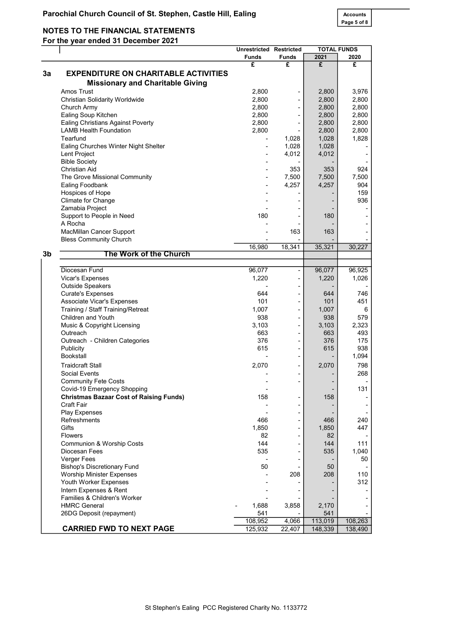# NOTES TO THE FINANCIAL STATEMENTS

For the year ended 31 December 2021

|    |                                                | <b>Unrestricted Restricted</b> |                              |         | <b>TOTAL FUNDS</b> |
|----|------------------------------------------------|--------------------------------|------------------------------|---------|--------------------|
|    |                                                | <b>Funds</b>                   | <b>Funds</b>                 | 2021    | 2020               |
|    |                                                | £                              | £                            | £       | £                  |
| 3a | <b>EXPENDITURE ON CHARITABLE ACTIVITIES</b>    |                                |                              |         |                    |
|    | <b>Missionary and Charitable Giving</b>        |                                |                              |         |                    |
|    | Amos Trust                                     | 2,800                          |                              | 2,800   | 3,976              |
|    | <b>Christian Solidarity Worldwide</b>          | 2,800                          |                              | 2,800   | 2,800              |
|    | Church Army                                    | 2,800                          |                              | 2,800   | 2,800              |
|    | Ealing Soup Kitchen                            | 2,800                          |                              | 2,800   | 2,800              |
|    | <b>Ealing Christians Against Poverty</b>       | 2,800                          |                              | 2,800   | 2,800              |
|    | <b>LAMB Health Foundation</b>                  | 2,800                          |                              | 2,800   | 2,800              |
|    | Tearfund                                       |                                | 1,028                        | 1,028   | 1,828              |
|    | Ealing Churches Winter Night Shelter           | $\blacksquare$                 | 1,028                        | 1,028   |                    |
|    | Lent Project                                   | $\overline{\phantom{a}}$       | 4,012                        | 4,012   |                    |
|    | <b>Bible Society</b>                           |                                |                              |         |                    |
|    | Christian Aid                                  |                                | 353                          | 353     | 924                |
|    | The Grove Missional Community                  |                                | 7,500                        | 7,500   | 7,500              |
|    | Ealing Foodbank                                | $\blacksquare$                 | 4,257                        | 4,257   | 904                |
|    | Hospices of Hope                               |                                |                              | -       | 159                |
|    | Climate for Change                             |                                |                              |         | 936                |
|    | Zamabia Project                                |                                |                              |         |                    |
|    | Support to People in Need                      | 180                            | ٠                            | 180     |                    |
|    | A Rocha                                        |                                |                              |         |                    |
|    | MacMillan Cancer Support                       |                                | 163                          | 163     |                    |
|    | <b>Bless Community Church</b>                  |                                |                              |         |                    |
| 3b | The Work of the Church                         | 16,980                         | 18,341                       | 35,321  | 30,227             |
|    |                                                |                                |                              |         |                    |
|    | Diocesan Fund                                  | 96,077                         | $\qquad \qquad \blacksquare$ | 96,077  | 96,925             |
|    | Vicar's Expenses                               | 1,220                          | ٠                            | 1,220   | 1,026              |
|    | <b>Outside Speakers</b>                        |                                |                              |         |                    |
|    | <b>Curate's Expenses</b>                       | 644                            | -                            | 644     | 746                |
|    | Associate Vicar's Expenses                     | 101                            | ۰                            | 101     | 451                |
|    | Training / Staff Training/Retreat              | 1,007                          |                              | 1,007   | 6                  |
|    | Children and Youth                             | 938                            | ۰                            | 938     | 579                |
|    | Music & Copyright Licensing                    | 3,103                          | ÷,                           | 3,103   | 2,323              |
|    | Outreach                                       | 663                            |                              | 663     | 493                |
|    | Outreach - Children Categories                 | 376                            |                              | 376     | 175                |
|    | Publicity                                      | 615                            | -                            | 615     | 938                |
|    | <b>Bookstall</b>                               |                                | ۰                            |         | 1,094              |
|    | <b>Traidcraft Stall</b>                        | 2,070                          | $\overline{a}$               | 2,070   | 798                |
|    | <b>Social Events</b>                           |                                |                              |         | 268                |
|    | <b>Community Fete Costs</b>                    |                                | -                            |         |                    |
|    | Covid-19 Emergency Shopping                    |                                |                              |         | 131                |
|    | <b>Christmas Bazaar Cost of Raising Funds)</b> | 158                            |                              | 158     |                    |
|    | Craft Fair                                     |                                |                              |         |                    |
|    | <b>Play Expenses</b>                           |                                |                              |         |                    |
|    | Refreshments                                   | 466                            |                              | 466     | 240                |
|    | Gifts                                          | 1,850                          |                              | 1,850   | 447                |
|    | <b>Flowers</b>                                 | 82                             | ٠                            | 82      |                    |
|    | Communion & Worship Costs                      | 144                            |                              | 144     | 111                |
|    | Diocesan Fees                                  | 535                            |                              | 535     | 1,040              |
|    | <b>Verger Fees</b>                             |                                |                              |         | 50                 |
|    | <b>Bishop's Discretionary Fund</b>             | 50                             |                              | 50      |                    |
|    | <b>Worship Minister Expenses</b>               |                                | 208                          | 208     | 110                |
|    | Youth Worker Expenses                          |                                |                              |         | 312                |
|    | Intern Expenses & Rent                         |                                |                              |         |                    |
|    | Families & Children's Worker                   |                                |                              |         |                    |
|    | <b>HMRC General</b>                            | 1,688                          | 3,858                        | 2,170   |                    |
|    | 26DG Deposit (repayment)                       | 541                            |                              | 541     |                    |
|    |                                                | 108,952                        | 4,066                        | 113,019 | 108,263            |
|    | <b>CARRIED FWD TO NEXT PAGE</b>                | 125,932                        | 22,407                       | 148,339 | 138,490            |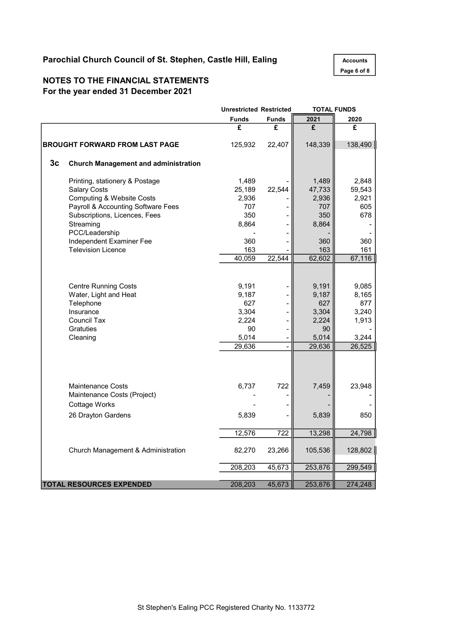# Parochial Church Council of St. Stephen, Castle Hill, Ealing Accounts

Page 6 of 8

### NOTES TO THE FINANCIAL STATEMENTS For the year ended 31 December 2021

|                |                                             | <b>Unrestricted Restricted</b> |              | <b>TOTAL FUNDS</b> |         |  |
|----------------|---------------------------------------------|--------------------------------|--------------|--------------------|---------|--|
|                |                                             | <b>Funds</b>                   | <b>Funds</b> | 2021               | 2020    |  |
|                |                                             | £                              | £            | £                  | £       |  |
|                | <b>BROUGHT FORWARD FROM LAST PAGE</b>       | 125,932                        | 22,407       | 148,339            | 138,490 |  |
| 3 <sub>c</sub> | <b>Church Management and administration</b> |                                |              |                    |         |  |
|                | Printing, stationery & Postage              | 1,489                          |              | 1,489              | 2,848   |  |
|                | <b>Salary Costs</b>                         | 25,189                         | 22,544       | 47,733             | 59,543  |  |
|                | <b>Computing &amp; Website Costs</b>        | 2,936                          |              | 2,936              | 2,921   |  |
|                | Payroll & Accounting Software Fees          | 707                            |              | 707                | 605     |  |
|                | Subscriptions, Licences, Fees               | 350                            |              | 350                | 678     |  |
|                | Streaming                                   | 8,864                          |              | 8,864              |         |  |
|                | PCC/Leadership                              |                                |              |                    |         |  |
|                | Independent Examiner Fee                    | 360                            |              | 360                | 360     |  |
|                | <b>Television Licence</b>                   | 163                            |              | 163                | 161     |  |
|                |                                             | 40,059                         | 22,544       | 62,602             | 67,116  |  |
|                |                                             |                                |              |                    |         |  |
|                | <b>Centre Running Costs</b>                 | 9,191                          |              | 9,191              | 9,085   |  |
|                | Water, Light and Heat                       | 9,187                          |              | 9,187              | 8,165   |  |
|                | Telephone                                   | 627                            |              | 627                | 877     |  |
|                | Insurance                                   | 3,304                          |              | 3,304              | 3,240   |  |
|                | Council Tax                                 | 2,224                          |              | 2,224              | 1,913   |  |
|                | Gratuties                                   | 90                             |              | 90                 |         |  |
|                | Cleaning                                    | 5,014                          |              | 5,014              | 3,244   |  |
|                |                                             | 29,636                         |              | 29,636             | 26,525  |  |
|                |                                             |                                |              |                    |         |  |
|                |                                             |                                |              |                    |         |  |
|                | <b>Maintenance Costs</b>                    | 6,737                          | 722          | 7,459              | 23,948  |  |
|                | Maintenance Costs (Project)                 |                                |              |                    |         |  |
|                | <b>Cottage Works</b>                        |                                |              |                    |         |  |
|                | 26 Drayton Gardens                          | 5,839                          |              | 5,839              | 850     |  |
|                |                                             | 12,576                         | 722          | 13,298             | 24,798  |  |
|                | Church Management & Administration          | 82,270                         | 23,266       | 105,536            | 128,802 |  |
|                |                                             | 208,203                        | 45,673       | 253,876            | 299,549 |  |
|                |                                             |                                |              |                    |         |  |
|                | <b>TOTAL RESOURCES EXPENDED</b>             | 208,203                        | 45,673       | 253,876            | 274,248 |  |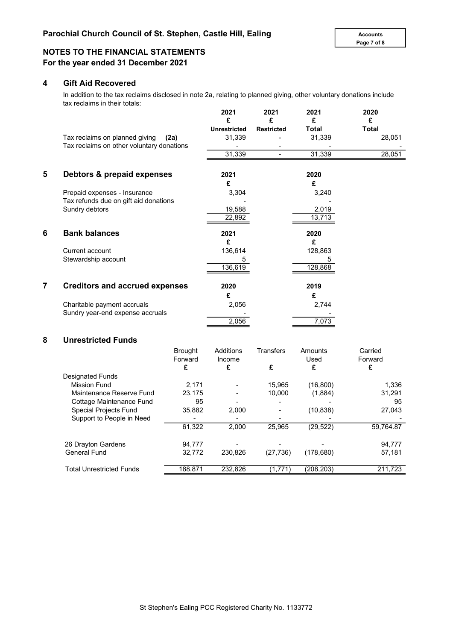### NOTES TO THE FINANCIAL STATEMENTS For the year ended 31 December 2021

### 4 Gift Aid Recovered

In addition to the tax reclaims disclosed in note 2a, relating to planned giving, other voluntary donations include tax reclaims in their totals:

|   |                                                                             |                | 2021<br>£<br><b>Unrestricted</b> | 2021<br>£<br><b>Restricted</b> | 2021<br>£<br><b>Total</b> | 2020<br>£<br><b>Total</b> |
|---|-----------------------------------------------------------------------------|----------------|----------------------------------|--------------------------------|---------------------------|---------------------------|
|   | Tax reclaims on planned giving<br>Tax reclaims on other voluntary donations | (2a)           | 31,339                           |                                | 31,339                    | 28,051                    |
|   |                                                                             |                | 31,339                           |                                | 31,339                    | 28,051                    |
| 5 | Debtors & prepaid expenses                                                  |                | 2021                             |                                | 2020                      |                           |
|   |                                                                             |                | £                                |                                | £                         |                           |
|   | Prepaid expenses - Insurance                                                |                | 3,304                            |                                | 3,240                     |                           |
|   | Tax refunds due on gift aid donations                                       |                |                                  |                                |                           |                           |
|   | Sundry debtors                                                              |                | 19,588                           |                                | 2,019                     |                           |
|   |                                                                             |                | 22,892                           |                                | 13,713                    |                           |
| 6 | <b>Bank balances</b>                                                        |                | 2021                             |                                | 2020                      |                           |
|   |                                                                             |                | £                                |                                | £                         |                           |
|   | Current account                                                             |                | 136,614                          |                                | 128,863                   |                           |
|   | Stewardship account                                                         |                | 5                                |                                | 5                         |                           |
|   |                                                                             |                | 136,619                          |                                | 128,868                   |                           |
| 7 | <b>Creditors and accrued expenses</b>                                       |                | 2020                             |                                | 2019                      |                           |
|   |                                                                             |                | £                                |                                | £                         |                           |
|   | Charitable payment accruals                                                 |                | 2,056                            |                                | 2,744                     |                           |
|   | Sundry year-end expense accruals                                            |                |                                  |                                |                           |                           |
|   |                                                                             |                | 2,056                            |                                | 7,073                     |                           |
| 8 | <b>Unrestricted Funds</b>                                                   |                |                                  |                                |                           |                           |
|   |                                                                             | <b>Brought</b> | <b>Additions</b>                 | <b>Transfers</b>               | Amounts                   | Carried                   |
|   |                                                                             | Forward        | Income                           |                                | Used                      | Forward                   |
|   |                                                                             | £              | £                                | £                              | £                         | £                         |
|   | <b>Designated Funds</b>                                                     |                |                                  |                                |                           |                           |
|   | <b>Mission Fund</b>                                                         | 2,171          |                                  | 15,965                         | (16, 800)                 | 1,336                     |
|   | Maintenance Reserve Fund                                                    | 23,175         |                                  | 10,000                         | (1,884)                   | 31,291                    |
|   | Cottage Maintenance Fund                                                    | 95             |                                  |                                |                           | 95                        |

Special Projects Fund 35,882 2,000 - (10,838) 27,043

26 Drayton Gardens **94,777** - - - - - - - - - - 94,777 General Fund **32,772** 230,826 (27,736) (178,680) 57,181

Total Unrestricted Funds 188,871 232,826 (1,771) (208,203) 211,723

2,000 61,322 25,965 (29,522) 59,764.87

Support to People in Need <br>  $\frac{1}{61,322}$  2,000 25,965